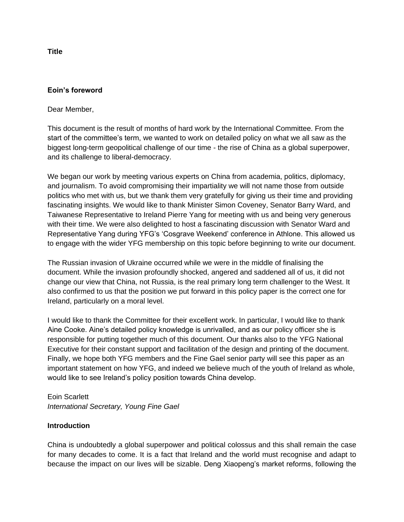**Eoin's foreword**

Dear Member,

This document is the result of months of hard work by the International Committee. From the start of the committee's term, we wanted to work on detailed policy on what we all saw as the biggest long-term geopolitical challenge of our time - the rise of China as a global superpower, and its challenge to liberal-democracy.

We began our work by meeting various experts on China from academia, politics, diplomacy, and journalism. To avoid compromising their impartiality we will not name those from outside politics who met with us, but we thank them very gratefully for giving us their time and providing fascinating insights. We would like to thank Minister Simon Coveney, Senator Barry Ward, and Taiwanese Representative to Ireland Pierre Yang for meeting with us and being very generous with their time. We were also delighted to host a fascinating discussion with Senator Ward and Representative Yang during YFG's 'Cosgrave Weekend' conference in Athlone. This allowed us to engage with the wider YFG membership on this topic before beginning to write our document.

The Russian invasion of Ukraine occurred while we were in the middle of finalising the document. While the invasion profoundly shocked, angered and saddened all of us, it did not change our view that China, not Russia, is the real primary long term challenger to the West. It also confirmed to us that the position we put forward in this policy paper is the correct one for Ireland, particularly on a moral level.

I would like to thank the Committee for their excellent work. In particular, I would like to thank Aine Cooke. Aine's detailed policy knowledge is unrivalled, and as our policy officer she is responsible for putting together much of this document. Our thanks also to the YFG National Executive for their constant support and facilitation of the design and printing of the document. Finally, we hope both YFG members and the Fine Gael senior party will see this paper as an important statement on how YFG, and indeed we believe much of the youth of Ireland as whole, would like to see Ireland's policy position towards China develop.

Eoin Scarlett *International Secretary, Young Fine Gael*

## **Introduction**

China is undoubtedly a global superpower and political colossus and this shall remain the case for many decades to come. It is a fact that Ireland and the world must recognise and adapt to because the impact on our lives will be sizable. Deng Xiaopeng's market reforms, following the

**Title**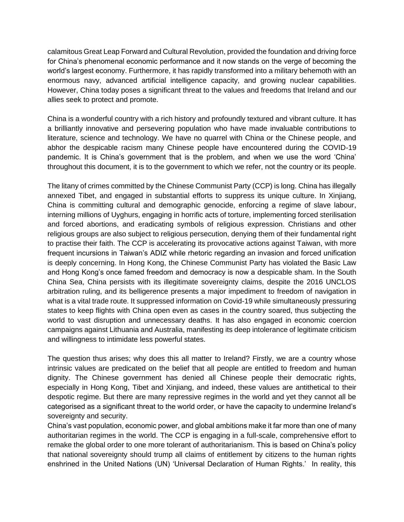calamitous Great Leap Forward and Cultural Revolution, provided the foundation and driving force for China's phenomenal economic performance and it now stands on the verge of becoming the world's largest economy. Furthermore, it has rapidly transformed into a military behemoth with an enormous navy, advanced artificial intelligence capacity, and growing nuclear capabilities. However, China today poses a significant threat to the values and freedoms that Ireland and our allies seek to protect and promote.

China is a wonderful country with a rich history and profoundly textured and vibrant culture. It has a brilliantly innovative and persevering population who have made invaluable contributions to literature, science and technology. We have no quarrel with China or the Chinese people, and abhor the despicable racism many Chinese people have encountered during the COVID-19 pandemic. It is China's government that is the problem, and when we use the word 'China' throughout this document, it is to the government to which we refer, not the country or its people.

The litany of crimes committed by the Chinese Communist Party (CCP) is long. China has illegally annexed Tibet, and engaged in substantial efforts to suppress its unique culture. In Xinjiang, China is committing cultural and demographic genocide, enforcing a regime of slave labour, interning millions of Uyghurs, engaging in horrific acts of torture, implementing forced sterilisation and forced abortions, and eradicating symbols of religious expression. Christians and other religious groups are also subject to religious persecution, denying them of their fundamental right to practise their faith. The CCP is accelerating its provocative actions against Taiwan, with more frequent incursions in Taiwan's ADIZ while rhetoric regarding an invasion and forced unification is deeply concerning. In Hong Kong, the Chinese Communist Party has violated the Basic Law and Hong Kong's once famed freedom and democracy is now a despicable sham. In the South China Sea, China persists with its illegitimate sovereignty claims, despite the 2016 UNCLOS arbitration ruling, and its belligerence presents a major impediment to freedom of navigation in what is a vital trade route. It suppressed information on Covid-19 while simultaneously pressuring states to keep flights with China open even as cases in the country soared, thus subjecting the world to vast disruption and unnecessary deaths. It has also engaged in economic coercion campaigns against Lithuania and Australia, manifesting its deep intolerance of legitimate criticism and willingness to intimidate less powerful states.

The question thus arises; why does this all matter to Ireland? Firstly, we are a country whose intrinsic values are predicated on the belief that all people are entitled to freedom and human dignity. The Chinese government has denied all Chinese people their democratic rights, especially in Hong Kong, Tibet and Xinjiang, and indeed, these values are antithetical to their despotic regime. But there are many repressive regimes in the world and yet they cannot all be categorised as a significant threat to the world order, or have the capacity to undermine Ireland's sovereignty and security.

China's vast population, economic power, and global ambitions make it far more than one of many authoritarian regimes in the world. The CCP is engaging in a full-scale, comprehensive effort to remake the global order to one more tolerant of authoritarianism. This is based on China's policy that national sovereignty should trump all claims of entitlement by citizens to the human rights enshrined in the United Nations (UN) 'Universal Declaration of Human Rights.' In reality, this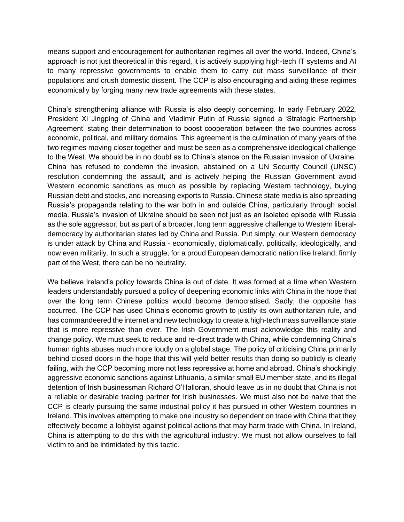means support and encouragement for authoritarian regimes all over the world. Indeed, China's approach is not just theoretical in this regard, it is actively supplying high-tech IT systems and AI to many repressive governments to enable them to carry out mass surveillance of their populations and crush domestic dissent. The CCP is also encouraging and aiding these regimes economically by forging many new trade agreements with these states.

China's strengthening alliance with Russia is also deeply concerning. In early February 2022, President Xi Jingping of China and Vladimir Putin of Russia signed a 'Strategic Partnership Agreement' stating their determination to boost cooperation between the two countries across economic, political, and military domains. This agreement is the culmination of many years of the two regimes moving closer together and must be seen as a comprehensive ideological challenge to the West. We should be in no doubt as to China's stance on the Russian invasion of Ukraine. China has refused to condemn the invasion, abstained on a UN Security Council (UNSC) resolution condemning the assault, and is actively helping the Russian Government avoid Western economic sanctions as much as possible by replacing Western technology, buying Russian debt and stocks, and increasing exports to Russia. Chinese state media is also spreading Russia's propaganda relating to the war both in and outside China, particularly through social media. Russia's invasion of Ukraine should be seen not just as an isolated episode with Russia as the sole aggressor, but as part of a broader, long term aggressive challenge to Western liberaldemocracy by authoritarian states led by China and Russia. Put simply, our Western democracy is under attack by China and Russia - economically, diplomatically, politically, ideologically, and now even militarily. In such a struggle, for a proud European democratic nation like Ireland, firmly part of the West, there can be no neutrality.

We believe Ireland's policy towards China is out of date. It was formed at a time when Western leaders understandably pursued a policy of deepening economic links with China in the hope that over the long term Chinese politics would become democratised. Sadly, the opposite has occurred. The CCP has used China's economic growth to justify its own authoritarian rule, and has commandeered the internet and new technology to create a high-tech mass surveillance state that is more repressive than ever. The Irish Government must acknowledge this reality and change policy. We must seek to reduce and re-direct trade with China, while condemning China's human rights abuses much more loudly on a global stage. The policy of criticising China primarily behind closed doors in the hope that this will yield better results than doing so publicly is clearly failing, with the CCP becoming more not less repressive at home and abroad. China's shockingly aggressive economic sanctions against Lithuania, a similar small EU member state, and its illegal detention of Irish businessman Richard O'Halloran, should leave us in no doubt that China is not a reliable or desirable trading partner for Irish businesses. We must also not be naive that the CCP is clearly pursuing the same industrial policy it has pursued in other Western countries in Ireland. This involves attempting to make one industry so dependent on trade with China that they effectively become a lobbyist against political actions that may harm trade with China. In Ireland, China is attempting to do this with the agricultural industry. We must not allow ourselves to fall victim to and be intimidated by this tactic.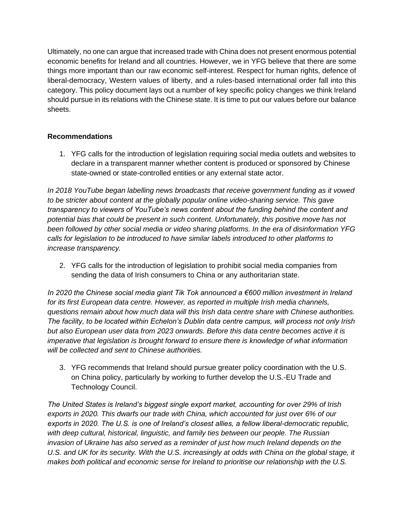Ultimately, no one can argue that increased trade with China does not present enormous potential economic benefits for Ireland and all countries. However, we in YFG believe that there are some things more important than our raw economic self-interest. Respect for human rights, defence of liberal-democracy, Western values of liberty, and a rules-based international order fall into this category. This policy document lays out a number of key specific policy changes we think Ireland should pursue in its relations with the Chinese state. It is time to put our values before our balance sheets.

## **Recommendations**

1. YFG calls for the introduction of legislation requiring social media outlets and websites to declare in a transparent manner whether content is produced or sponsored by Chinese state-owned or state-controlled entities or any external state actor.

*In 2018 YouTube began labelling news broadcasts that receive government funding as it vowed to be stricter about content at the globally popular online video-sharing service. This gave transparency to viewers of YouTube's news content about the funding behind the content and potential bias that could be present in such content. Unfortunately, this positive move has not been followed by other social media or video sharing platforms. In the era of disinformation YFG calls for legislation to be introduced to have similar labels introduced to other platforms to increase transparency.* 

2. YFG calls for the introduction of legislation to prohibit social media companies from sending the data of Irish consumers to China or any authoritarian state.

*In 2020 the Chinese social media giant Tik Tok announced a €600 million investment in Ireland for its first European data centre. However, as reported in multiple Irish media channels, questions remain about how much data will this Irish data centre share with Chinese authorities. The facility, to be located within Echelon's Dublin data centre campus, will process not only Irish but also European user data from 2023 onwards. Before this data centre becomes active it is imperative that legislation is brought forward to ensure there is knowledge of what information will be collected and sent to Chinese authorities.* 

3. YFG recommends that Ireland should pursue greater policy coordination with the U.S. on China policy, particularly by working to further develop the U.S.-EU Trade and Technology Council.

*The United States is Ireland's biggest single export market, accounting for over 29% of Irish exports in 2020. This dwarfs our trade with China, which accounted for just over 6% of our exports in 2020. The U.S. is one of Ireland's closest allies, a fellow liberal-democratic republic, with deep cultural, historical, linguistic, and family ties between our people. The Russian invasion of Ukraine has also served as a reminder of just how much Ireland depends on the U.S. and UK for its security. With the U.S. increasingly at odds with China on the global stage, it makes both political and economic sense for Ireland to prioritise our relationship with the U.S.*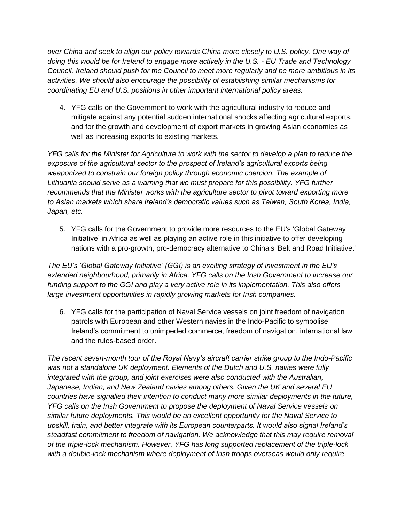*over China and seek to align our policy towards China more closely to U.S. policy. One way of doing this would be for Ireland to engage more actively in the U.S. - EU Trade and Technology Council. Ireland should push for the Council to meet more regularly and be more ambitious in its activities. We should also encourage the possibility of establishing similar mechanisms for coordinating EU and U.S. positions in other important international policy areas.*

4. YFG calls on the Government to work with the agricultural industry to reduce and mitigate against any potential sudden international shocks affecting agricultural exports, and for the growth and development of export markets in growing Asian economies as well as increasing exports to existing markets.

*YFG calls for the Minister for Agriculture to work with the sector to develop a plan to reduce the exposure of the agricultural sector to the prospect of Ireland's agricultural exports being weaponized to constrain our foreign policy through economic coercion. The example of Lithuania should serve as a warning that we must prepare for this possibility. YFG further recommends that the Minister works with the agriculture sector to pivot toward exporting more to Asian markets which share Ireland's democratic values such as Taiwan, South Korea, India, Japan, etc.* 

5. YFG calls for the Government to provide more resources to the EU's 'Global Gateway Initiative' in Africa as well as playing an active role in this initiative to offer developing nations with a pro-growth, pro-democracy alternative to China's 'Belt and Road Initiative.'

*The EU's 'Global Gateway Initiative' (GGI) is an exciting strategy of investment in the EU's extended neighbourhood, primarily in Africa. YFG calls on the Irish Government to increase our funding support to the GGI and play a very active role in its implementation. This also offers large investment opportunities in rapidly growing markets for Irish companies.*

6. YFG calls for the participation of Naval Service vessels on joint freedom of navigation patrols with European and other Western navies in the Indo-Pacific to symbolise Ireland's commitment to unimpeded commerce, freedom of navigation, international law and the rules-based order.

*The recent seven-month tour of the Royal Navy's aircraft carrier strike group to the Indo-Pacific was not a standalone UK deployment. Elements of the Dutch and U.S. navies were fully integrated with the group, and joint exercises were also conducted with the Australian, Japanese, Indian, and New Zealand navies among others. Given the UK and several EU countries have signalled their intention to conduct many more similar deployments in the future, YFG calls on the Irish Government to propose the deployment of Naval Service vessels on similar future deployments. This would be an excellent opportunity for the Naval Service to upskill, train, and better integrate with its European counterparts. It would also signal Ireland's steadfast commitment to freedom of navigation. We acknowledge that this may require removal of the triple-lock mechanism. However, YFG has long supported replacement of the triple-lock with a double-lock mechanism where deployment of Irish troops overseas would only require*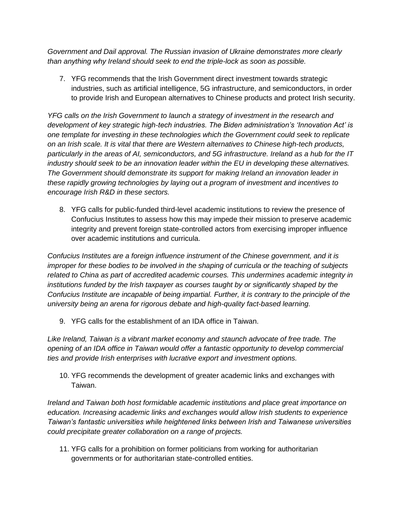*Government and Dail approval. The Russian invasion of Ukraine demonstrates more clearly than anything why Ireland should seek to end the triple-lock as soon as possible.*

7. YFG recommends that the Irish Government direct investment towards strategic industries, such as artificial intelligence, 5G infrastructure, and semiconductors, in order to provide Irish and European alternatives to Chinese products and protect Irish security.

*YFG calls on the Irish Government to launch a strategy of investment in the research and development of key strategic high-tech industries. The Biden administration's 'Innovation Act' is one template for investing in these technologies which the Government could seek to replicate on an Irish scale. It is vital that there are Western alternatives to Chinese high-tech products, particularly in the areas of AI, semiconductors, and 5G infrastructure. Ireland as a hub for the IT industry should seek to be an innovation leader within the EU in developing these alternatives. The Government should demonstrate its support for making Ireland an innovation leader in these rapidly growing technologies by laying out a program of investment and incentives to encourage Irish R&D in these sectors.* 

8. YFG calls for public-funded third-level academic institutions to review the presence of Confucius Institutes to assess how this may impede their mission to preserve academic integrity and prevent foreign state-controlled actors from exercising improper influence over academic institutions and curricula.

*Confucius Institutes are a foreign influence instrument of the Chinese government, and it is improper for these bodies to be involved in the shaping of curricula or the teaching of subjects*  related to China as part of accredited academic courses. This undermines academic integrity in *institutions funded by the Irish taxpayer as courses taught by or significantly shaped by the Confucius Institute are incapable of being impartial. Further, it is contrary to the principle of the university being an arena for rigorous debate and high-quality fact-based learning.*

9. YFG calls for the establishment of an IDA office in Taiwan.

*Like Ireland, Taiwan is a vibrant market economy and staunch advocate of free trade. The opening of an IDA office in Taiwan would offer a fantastic opportunity to develop commercial ties and provide Irish enterprises with lucrative export and investment options.*

10. YFG recommends the development of greater academic links and exchanges with Taiwan.

*Ireland and Taiwan both host formidable academic institutions and place great importance on education. Increasing academic links and exchanges would allow Irish students to experience Taiwan's fantastic universities while heightened links between Irish and Taiwanese universities could precipitate greater collaboration on a range of projects.*

11. YFG calls for a prohibition on former politicians from working for authoritarian governments or for authoritarian state-controlled entities.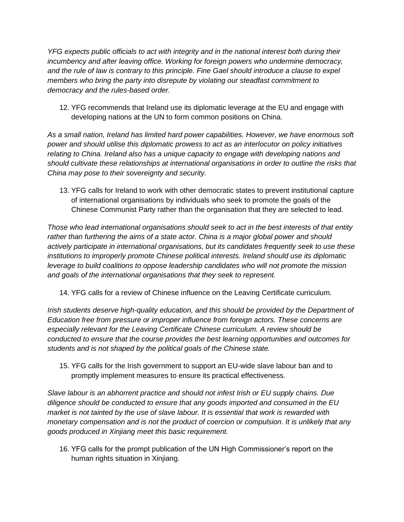*YFG expects public officials to act with integrity and in the national interest both during their incumbency and after leaving office. Working for foreign powers who undermine democracy, and the rule of law is contrary to this principle. Fine Gael should introduce a clause to expel members who bring the party into disrepute by violating our steadfast commitment to democracy and the rules-based order.*

12. YFG recommends that Ireland use its diplomatic leverage at the EU and engage with developing nations at the UN to form common positions on China.

*As a small nation, Ireland has limited hard power capabilities. However, we have enormous soft power and should utilise this diplomatic prowess to act as an interlocutor on policy initiatives relating to China. Ireland also has a unique capacity to engage with developing nations and should cultivate these relationships at international organisations in order to outline the risks that China may pose to their sovereignty and security.*

13. YFG calls for Ireland to work with other democratic states to prevent institutional capture of international organisations by individuals who seek to promote the goals of the Chinese Communist Party rather than the organisation that they are selected to lead.

*Those who lead international organisations should seek to act in the best interests of that entity rather than furthering the aims of a state actor. China is a major global power and should actively participate in international organisations, but its candidates frequently seek to use these institutions to improperly promote Chinese political interests. Ireland should use its diplomatic leverage to build coalitions to oppose leadership candidates who will not promote the mission and goals of the international organisations that they seek to represent.*

14. YFG calls for a review of Chinese influence on the Leaving Certificate curriculum.

*Irish students deserve high-quality education, and this should be provided by the Department of Education free from pressure or improper influence from foreign actors. These concerns are especially relevant for the Leaving Certificate Chinese curriculum. A review should be conducted to ensure that the course provides the best learning opportunities and outcomes for students and is not shaped by the political goals of the Chinese state.*

15. YFG calls for the Irish government to support an EU-wide slave labour ban and to promptly implement measures to ensure its practical effectiveness.

*Slave labour is an abhorrent practice and should not infest Irish or EU supply chains. Due diligence should be conducted to ensure that any goods imported and consumed in the EU market is not tainted by the use of slave labour. It is essential that work is rewarded with monetary compensation and is not the product of coercion or compulsion. It is unlikely that any goods produced in Xinjiang meet this basic requirement.*

16. YFG calls for the prompt publication of the UN High Commissioner's report on the human rights situation in Xinjiang.